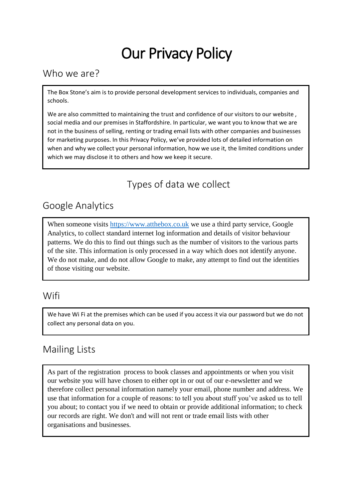# Our Privacy Policy

#### Who we are?

The Box Stone's aim is to provide personal development services to individuals, companies and schools.

We are also committed to maintaining the trust and confidence of our visitors to our website, social media and our premises in Staffordshire. In particular, we want you to know that we are not in the business of selling, renting or trading email lists with other companies and businesses for marketing purposes. In this Privacy Policy, we've provided lots of detailed information on when and why we collect your personal information, how we use it, the limited conditions under which we may disclose it to others and how we keep it secure.

# Types of data we collect

## Google Analytics

When someone visits [https://www.atthebox.co.uk](https://www.atthebox.co.uk/) we use a third party service, Google Analytics, to collect standard internet log information and details of visitor behaviour patterns. We do this to find out things such as the number of visitors to the various parts of the site. This information is only processed in a way which does not identify anyone. We do not make, and do not allow Google to make, any attempt to find out the identities of those visiting our website.

#### **Wifi**

We have Wi Fi at the premises which can be used if you access it via our password but we do not collect any personal data on you.

## Mailing Lists

As part of the registration process to book classes and appointments or when you visit our website you will have chosen to either opt in or out of our e-newsletter and we therefore collect personal information namely your email, phone number and address. We use that information for a couple of reasons: to tell you about stuff you've asked us to tell you about; to contact you if we need to obtain or provide additional information; to check our records are right. We don't and will not rent or trade email lists with other organisations and businesses.